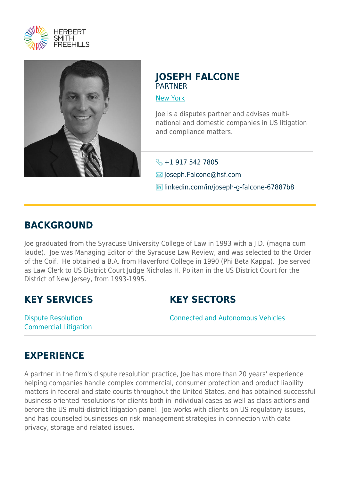



## **JOSEPH FALCONE** PARTNER

[New York](https://www.herbertsmithfreehills.com/lang-de/where-we-work/new-york)

Joe is a disputes partner and advises multinational and domestic companies in US litigation and compliance matters.

 $\leftarrow$  +1 917 542 7805 Joseph.Falcone@hsf.com in linkedin.com/in/joseph-g-falcone-67887b8

## **BACKGROUND**

Joe graduated from the Syracuse University College of Law in 1993 with a J.D. (magna cum laude). Joe was Managing Editor of the Syracuse Law Review, and was selected to the Order of the Coif. He obtained a B.A. from Haverford College in 1990 (Phi Beta Kappa). Joe served as Law Clerk to US District Court Judge Nicholas H. Politan in the US District Court for the District of New Jersey, from 1993-1995.

## **KEY SERVICES**

Dispute Resolution Commercial Litigation **KEY SECTORS**

Connected and Autonomous Vehicles

## **EXPERIENCE**

A partner in the firm's dispute resolution practice, Joe has more than 20 years' experience helping companies handle complex commercial, consumer protection and product liability matters in federal and state courts throughout the United States, and has obtained successful business-oriented resolutions for clients both in individual cases as well as class actions and before the US multi-district litigation panel. Joe works with clients on US regulatory issues, and has counseled businesses on risk management strategies in connection with data privacy, storage and related issues.